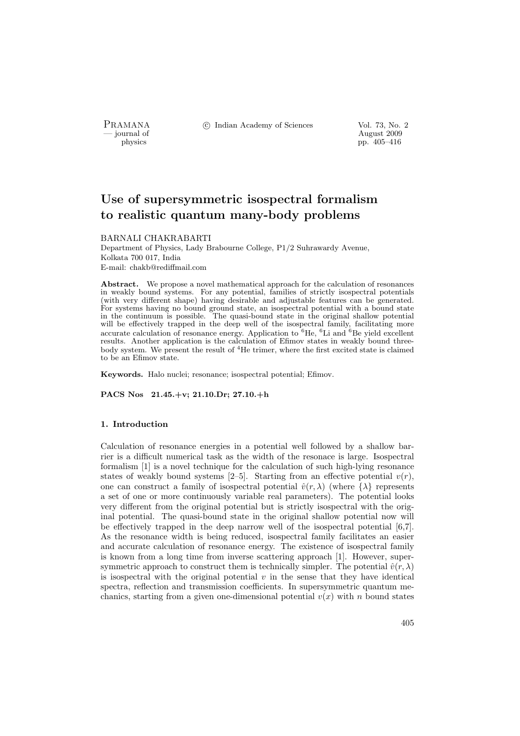PRAMANA <sup>3</sup> © Indian Academy of Sciences Vol. 73, No. 2

physics and the contract of the contract of the contract  $\frac{1}{2009}$  physics the contract of the contract of the contract of the contract of the contract of the contract of the contract of the contract of the contract of pp. 405–416

# Use of supersymmetric isospectral formalism to realistic quantum many-body problems

## BARNALI CHAKRABARTI

Department of Physics, Lady Brabourne College, P1/2 Suhrawardy Avenue, Kolkata 700 017, India E-mail: chakb@rediffmail.com

Abstract. We propose a novel mathematical approach for the calculation of resonances in weakly bound systems. For any potential, families of strictly isospectral potentials (with very different shape) having desirable and adjustable features can be generated. For systems having no bound ground state, an isospectral potential with a bound state in the continuum is possible. The quasi-bound state in the original shallow potential will be effectively trapped in the deep well of the isospectral family, facilitating more accurate calculation of resonance energy. Application to  ${}^{6}$ He,  ${}^{6}$ Li and  ${}^{6}$ Be yield excellent results. Another application is the calculation of Efimov states in weakly bound threebody system. We present the result of <sup>4</sup>He trimer, where the first excited state is claimed to be an Efimov state.

Keywords. Halo nuclei; resonance; isospectral potential; Efimov.

PACS Nos 21.45.+v; 21.10.Dr; 27.10.+h

## 1. Introduction

Calculation of resonance energies in a potential well followed by a shallow barrier is a difficult numerical task as the width of the resonace is large. Isospectral formalism [1] is a novel technique for the calculation of such high-lying resonance states of weakly bound systems [2–5]. Starting from an effective potential  $v(r)$ , one can construct a family of isospectral potential  $\hat{v}(r, \lambda)$  (where  $\{\lambda\}$  represents a set of one or more continuously variable real parameters). The potential looks very different from the original potential but is strictly isospectral with the original potential. The quasi-bound state in the original shallow potential now will be effectively trapped in the deep narrow well of the isospectral potential [6,7]. As the resonance width is being reduced, isospectral family facilitates an easier and accurate calculation of resonance energy. The existence of isospectral family is known from a long time from inverse scattering approach [1]. However, supersymmetric approach to construct them is technically simpler. The potential  $\hat{v}(r, \lambda)$ is isospectral with the original potential  $v$  in the sense that they have identical spectra, reflection and transmission coefficients. In supersymmetric quantum mechanics, starting from a given one-dimensional potential  $v(x)$  with n bound states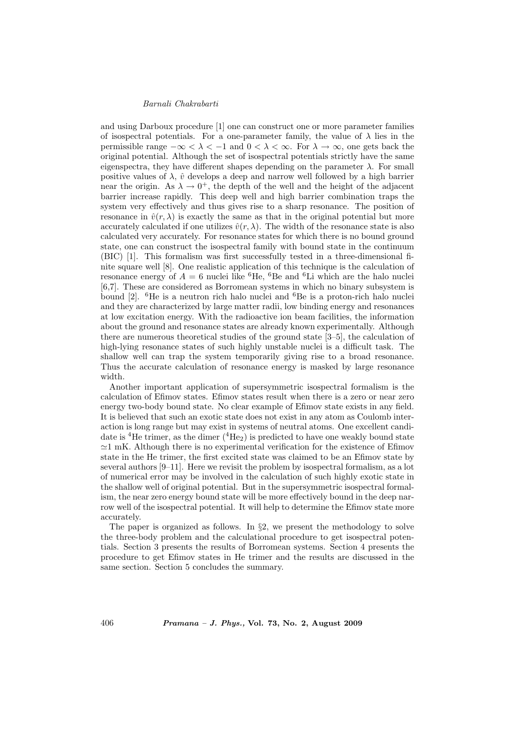and using Darboux procedure [1] one can construct one or more parameter families of isospectral potentials. For a one-parameter family, the value of  $\lambda$  lies in the permissible range  $-\infty < \lambda < -1$  and  $0 < \lambda < \infty$ . For  $\lambda \to \infty$ , one gets back the original potential. Although the set of isospectral potentials strictly have the same eigenspectra, they have different shapes depending on the parameter  $\lambda$ . For small positive values of  $\lambda$ ,  $\hat{v}$  develops a deep and narrow well followed by a high barrier near the origin. As  $\lambda \to 0^+$ , the depth of the well and the height of the adjacent barrier increase rapidly. This deep well and high barrier combination traps the system very effectively and thus gives rise to a sharp resonance. The position of resonance in  $\hat{v}(r, \lambda)$  is exactly the same as that in the original potential but more accurately calculated if one utilizes  $\hat{v}(r, \lambda)$ . The width of the resonance state is also calculated very accurately. For resonance states for which there is no bound ground state, one can construct the isospectral family with bound state in the continuum (BIC) [1]. This formalism was first successfully tested in a three-dimensional finite square well [8]. One realistic application of this technique is the calculation of resonance energy of  $A = 6$  nuclei like <sup>6</sup>He, <sup>6</sup>Be and <sup>6</sup>Li which are the halo nuclei [6,7]. These are considered as Borromean systems in which no binary subsystem is bound [2]. <sup>6</sup>He is a neutron rich halo nuclei and <sup>6</sup>Be is a proton-rich halo nuclei and they are characterized by large matter radii, low binding energy and resonances at low excitation energy. With the radioactive ion beam facilities, the information about the ground and resonance states are already known experimentally. Although there are numerous theoretical studies of the ground state [3–5], the calculation of high-lying resonance states of such highly unstable nuclei is a difficult task. The shallow well can trap the system temporarily giving rise to a broad resonance. Thus the accurate calculation of resonance energy is masked by large resonance width.

Another important application of supersymmetric isospectral formalism is the calculation of Efimov states. Efimov states result when there is a zero or near zero energy two-body bound state. No clear example of Efimov state exists in any field. It is believed that such an exotic state does not exist in any atom as Coulomb interaction is long range but may exist in systems of neutral atoms. One excellent candidate is <sup>4</sup>He trimer, as the dimer  $(^{4}He_{2})$  is predicted to have one weakly bound state  $\approx$ 1 mK. Although there is no experimental verification for the existence of Efimov state in the He trimer, the first excited state was claimed to be an Efimov state by several authors [9–11]. Here we revisit the problem by isospectral formalism, as a lot of numerical error may be involved in the calculation of such highly exotic state in the shallow well of original potential. But in the supersymmetric isospectral formalism, the near zero energy bound state will be more effectively bound in the deep narrow well of the isospectral potential. It will help to determine the Efimov state more accurately.

The paper is organized as follows. In  $\S$ 2, we present the methodology to solve the three-body problem and the calculational procedure to get isospectral potentials. Section 3 presents the results of Borromean systems. Section 4 presents the procedure to get Efimov states in He trimer and the results are discussed in the same section. Section 5 concludes the summary.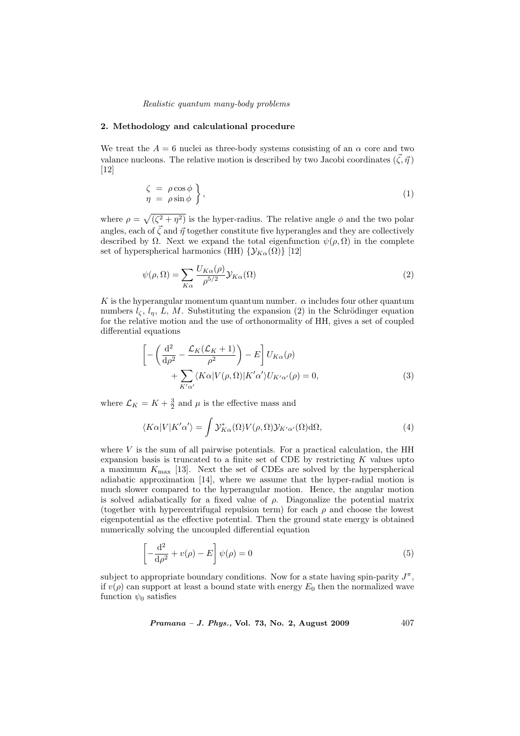## 2. Methodology and calculational procedure

We treat the  $A = 6$  nuclei as three-body systems consisting of an  $\alpha$  core and two valance nucleons. The relative motion is described by two Jacobi coordinates  $(\vec{\zeta}, \vec{\eta})$ [12]

$$
\begin{aligned}\n\zeta &= \rho \cos \phi \\
\eta &= \rho \sin \phi\n\end{aligned}\n\bigg\},\n\tag{1}
$$

where  $\rho =$ p  $(\zeta^2 + \eta^2)$  is the hyper-radius. The relative angle  $\phi$  and the two polar angles, each of  $\vec{\zeta}$  and  $\vec{\eta}$  together constitute five hyperangles and they are collectively described by  $\Omega$ . Next we expand the total eigenfunction  $\psi(\rho, \Omega)$  in the complete set of hyperspherical harmonics (HH)  $\{Y_{K\alpha}(\Omega)\}\$ [12]

$$
\psi(\rho,\Omega) = \sum_{K\alpha} \frac{U_{K\alpha}(\rho)}{\rho^{5/2}} \mathcal{Y}_{K\alpha}(\Omega)
$$
\n(2)

K is the hyperangular momentum quantum number.  $\alpha$  includes four other quantum numbers  $l_{\zeta}, l_{\eta}, L, M$ . Substituting the expansion (2) in the Schrödinger equation for the relative motion and the use of orthonormality of HH, gives a set of coupled differential equations

$$
\left[ -\left(\frac{\mathrm{d}^2}{\mathrm{d}\rho^2} - \frac{\mathcal{L}_K(\mathcal{L}_K + 1)}{\rho^2}\right) - E \right] U_{K\alpha}(\rho)
$$
  
+ 
$$
\sum_{K'\alpha'} \langle K\alpha | V(\rho, \Omega) | K'\alpha' \rangle U_{K'\alpha'}(\rho) = 0,
$$
 (3)

where  $\mathcal{L}_K = K + \frac{3}{2}$  and  $\mu$  is the effective mass and

$$
\langle K\alpha|V|K'\alpha'\rangle = \int \mathcal{Y}_{K\alpha}^*(\Omega)V(\rho,\Omega)\mathcal{Y}_{K'\alpha'}(\Omega)d\Omega,
$$
\n(4)

where  $V$  is the sum of all pairwise potentials. For a practical calculation, the HH expansion basis is truncated to a finite set of CDE by restricting  $K$  values upto a maximum  $K_{\text{max}}$  [13]. Next the set of CDEs are solved by the hyperspherical adiabatic approximation [14], where we assume that the hyper-radial motion is much slower compared to the hyperangular motion. Hence, the angular motion is solved adiabatically for a fixed value of  $\rho$ . Diagonalize the potential matrix (together with hypercentrifugal repulsion term) for each  $\rho$  and choose the lowest eigenpotential as the effective potential. Then the ground state energy is obtained numerically solving the uncoupled differential equation

$$
\left[-\frac{\mathrm{d}^2}{\mathrm{d}\rho^2} + v(\rho) - E\right]\psi(\rho) = 0\tag{5}
$$

subject to appropriate boundary conditions. Now for a state having spin-parity  $J^{\pi}$ , if  $v(\rho)$  can support at least a bound state with energy  $E_0$  then the normalized wave function  $\psi_0$  satisfies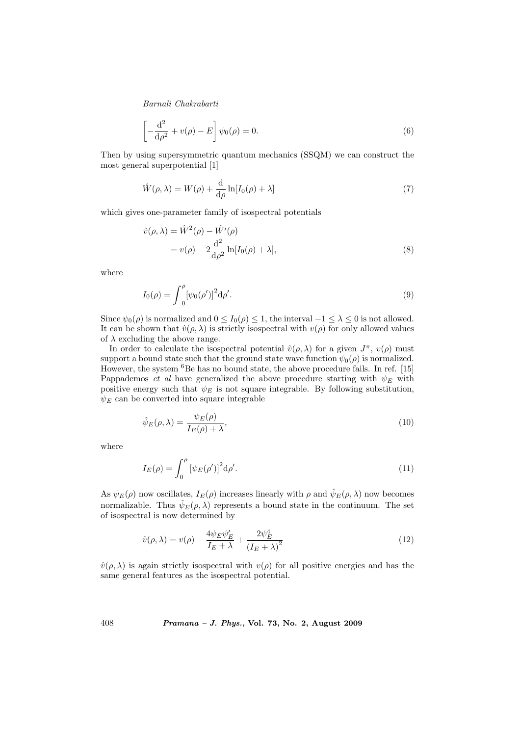$$
\left[-\frac{\mathrm{d}^2}{\mathrm{d}\rho^2} + v(\rho) - E\right]\psi_0(\rho) = 0.
$$
\n(6)

Then by using supersymmetric quantum mechanics (SSQM) we can construct the most general superpotential [1]

$$
\hat{W}(\rho,\lambda) = W(\rho) + \frac{\mathrm{d}}{\mathrm{d}\rho} \ln[I_0(\rho) + \lambda] \tag{7}
$$

which gives one-parameter family of isospectral potentials

$$
\hat{v}(\rho,\lambda) = \hat{W}^2(\rho) - \hat{W}'(\rho) \n= v(\rho) - 2\frac{d^2}{d\rho^2} \ln[I_0(\rho) + \lambda],
$$
\n(8)

where

$$
I_0(\rho) = \int_0^{\rho} [\psi_0(\rho')]^2 d\rho'. \tag{9}
$$

Since  $\psi_0(\rho)$  is normalized and  $0 \leq I_0(\rho) \leq 1$ , the interval  $-1 \leq \lambda \leq 0$  is not allowed. It can be shown that  $\hat{v}(\rho, \lambda)$  is strictly isospectral with  $v(\rho)$  for only allowed values of  $\lambda$  excluding the above range.

In order to calculate the isospectral potential  $\hat{v}(\rho, \lambda)$  for a given  $J^{\pi}$ ,  $v(\rho)$  must support a bound state such that the ground state wave function  $\psi_0(\rho)$  is normalized. However, the system  ${}^{6}$ Be has no bound state, the above procedure fails. In ref. [15] Pappademos *et al* have generalized the above procedure starting with  $\psi_E$  with positive energy such that  $\psi_E$  is not square integrable. By following substitution,  $\psi_E$  can be converted into square integrable

$$
\hat{\psi}_E(\rho,\lambda) = \frac{\psi_E(\rho)}{I_E(\rho) + \lambda},\tag{10}
$$

where

$$
I_E(\rho) = \int_0^{\rho} \left[\psi_E(\rho')\right]^2 d\rho'.\tag{11}
$$

As  $\psi_E(\rho)$  now oscillates,  $I_E(\rho)$  increases linearly with  $\rho$  and  $\hat{\psi}_E(\rho, \lambda)$  now becomes normalizable. Thus  $\hat{\psi}_E(\rho,\lambda)$  represents a bound state in the continuum. The set of isospectral is now determined by

$$
\hat{v}(\rho,\lambda) = v(\rho) - \frac{4\psi_E \psi_E'}{I_E + \lambda} + \frac{2\psi_E^4}{(I_E + \lambda)^2}
$$
\n(12)

 $\hat{v}(\rho, \lambda)$  is again strictly isospectral with  $v(\rho)$  for all positive energies and has the same general features as the isospectral potential.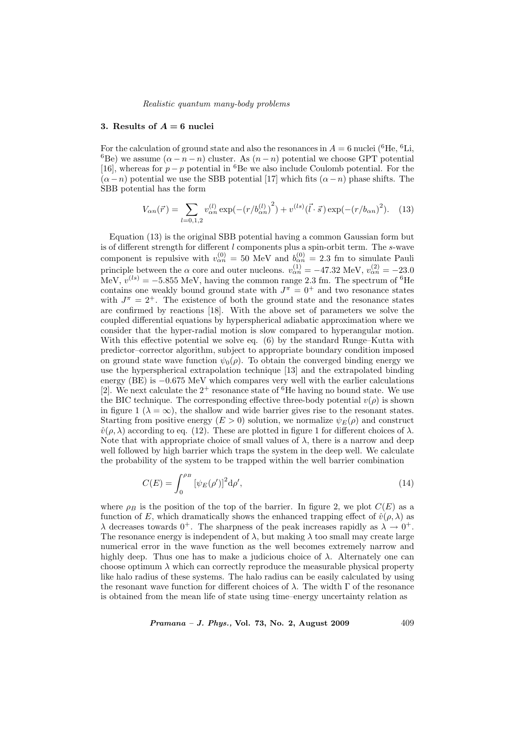## 3. Results of  $A = 6$  nuclei

For the calculation of ground state and also the resonances in  $A = 6$  nuclei (<sup>6</sup>He, <sup>6</sup>Li, <sup>6</sup>Be) we assume  $(\alpha - n - n)$  cluster. As  $(n - n)$  potential we choose GPT potential [16], whereas for  $p - p$  potential in <sup>6</sup>Be we also include Coulomb potential. For the  $(\alpha - n)$  potential we use the SBB potential [17] which fits  $(\alpha - n)$  phase shifts. The SBB potential has the form

$$
V_{\alpha n}(\vec{r}) = \sum_{l=0,1,2} v_{\alpha n}^{(l)} \exp(-(r/b_{\alpha n}^{(l)})^2) + v^{(ls)}(\vec{l} \cdot \vec{s}) \exp(-(r/b_{\alpha n})^2). \quad (13)
$$

Equation (13) is the original SBB potential having a common Gaussian form but is of different strength for different  $l$  components plus a spin-orbit term. The  $s$ -wave component is repulsive with  $v_{\alpha n}^{(0)} = 50$  MeV and  $b_{\alpha n}^{(0)} = 2.3$  fm to simulate Pauli principle between the  $\alpha$  core and outer nucleons.  $v_{\alpha n}^{(1)} = -47.32 \text{ MeV}, v_{\alpha n}^{(2)} = -23.0$ MeV,  $v^{(ls)} = -5.855$  MeV, having the common range 2.3 fm. The spectrum of <sup>6</sup>He contains one weakly bound ground state with  $J^{\pi} = 0^{+}$  and two resonance states with  $J^{\pi} = 2^{+}$ . The existence of both the ground state and the resonance states are confirmed by reactions [18]. With the above set of parameters we solve the coupled differential equations by hyperspherical adiabatic approximation where we consider that the hyper-radial motion is slow compared to hyperangular motion. With this effective potential we solve eq. (6) by the standard Runge–Kutta with predictor–corrector algorithm, subject to appropriate boundary condition imposed on ground state wave function  $\psi_0(\rho)$ . To obtain the converged binding energy we use the hyperspherical extrapolation technique [13] and the extrapolated binding energy (BE) is −0.675 MeV which compares very well with the earlier calculations [2]. We next calculate the  $2^+$  resonance state of <sup>6</sup>He having no bound state. We use the BIC technique. The corresponding effective three-body potential  $v(\rho)$  is shown in figure 1 ( $\lambda = \infty$ ), the shallow and wide barrier gives rise to the resonant states. Starting from positive energy  $(E > 0)$  solution, we normalize  $\psi_E(\rho)$  and construct  $\hat{v}(\rho, \lambda)$  according to eq. (12). These are plotted in figure 1 for different choices of  $\lambda$ . Note that with appropriate choice of small values of  $\lambda$ , there is a narrow and deep well followed by high barrier which traps the system in the deep well. We calculate the probability of the system to be trapped within the well barrier combination

$$
C(E) = \int_0^{\rho_B} \left[ \psi_E(\rho') \right]^2 d\rho', \tag{14}
$$

where  $\rho_B$  is the position of the top of the barrier. In figure 2, we plot  $C(E)$  as a function of E, which dramatically shows the enhanced trapping effect of  $\hat{v}(\rho, \lambda)$  as  $\lambda$  decreases towards  $0^+$ . The sharpness of the peak increases rapidly as  $\lambda \to 0^+$ . The resonance energy is independent of  $\lambda$ , but making  $\lambda$  too small may create large numerical error in the wave function as the well becomes extremely narrow and highly deep. Thus one has to make a judicious choice of  $\lambda$ . Alternately one can choose optimum  $\lambda$  which can correctly reproduce the measurable physical property like halo radius of these systems. The halo radius can be easily calculated by using the resonant wave function for different choices of  $\lambda$ . The width  $\Gamma$  of the resonance is obtained from the mean life of state using time–energy uncertainty relation as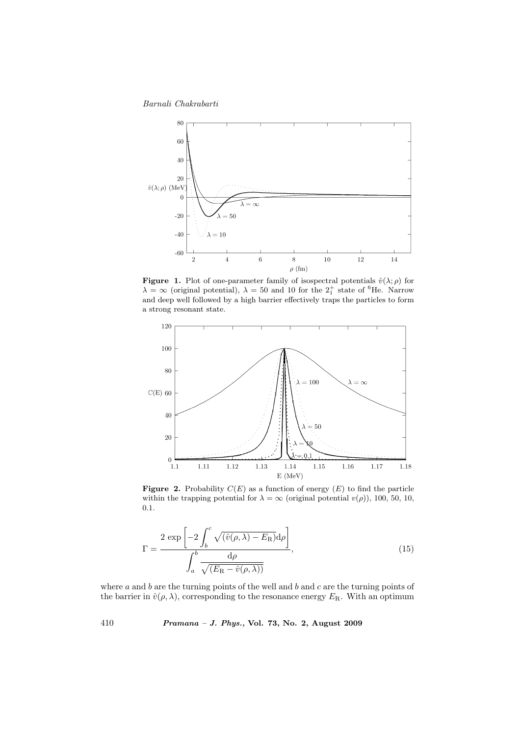

**Figure 1.** Plot of one-parameter family of isospectral potentials  $\hat{v}(\lambda; \rho)$  for  $\lambda = \infty$  (original potential),  $\lambda = 50$  and 10 for the  $2^+_1$  state of <sup>6</sup>He. Narrow and deep well followed by a high barrier effectively traps the particles to form a strong resonant state.



**Figure 2.** Probability  $C(E)$  as a function of energy  $(E)$  to find the particle within the trapping potential for  $\lambda = \infty$  (original potential  $v(\rho)$ ), 100, 50, 10, 0.1.

$$
\Gamma = \frac{2 \exp\left[-2 \int_b^c \sqrt{(\hat{v}(\rho, \lambda) - E_{\rm R})} \, \mathrm{d}\rho\right]}{\int_a^b \frac{\mathrm{d}\rho}{\sqrt{(E_{\rm R} - \hat{v}(\rho, \lambda))}},}
$$
\n(15)

where  $a$  and  $b$  are the turning points of the well and  $b$  and  $c$  are the turning points of the barrier in  $\hat{v}(\rho, \lambda)$ , corresponding to the resonance energy  $E_R$ . With an optimum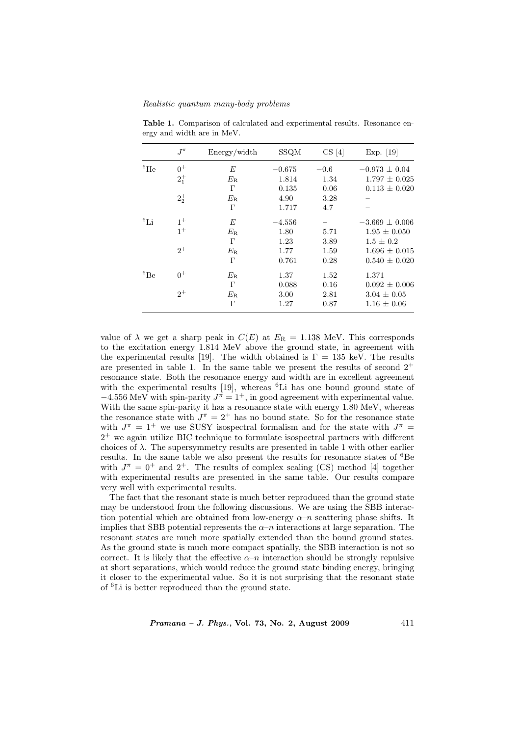Table 1. Comparison of calculated and experimental results. Resonance energy and width are in MeV.

|                 | $J^{\pi}$   | Energy/width | <b>SSQM</b> | CS[4]  | Exp. $[19]$        |
|-----------------|-------------|--------------|-------------|--------|--------------------|
| ${}^{6}$ He     | $0^+$       | E            | $-0.675$    | $-0.6$ | $-0.973 \pm 0.04$  |
|                 | $2^{+}_{1}$ | $E_{\rm R}$  | 1.814       | 1.34   | $1.797 \pm 0.025$  |
|                 |             | $\Gamma$     | 0.135       | 0.06   | $0.113 \pm 0.020$  |
|                 | $2^{+}_{2}$ | $E_{\rm R}$  | 4.90        | 3.28   |                    |
|                 |             | $\Gamma$     | 1.717       | 4.7    |                    |
| ${}^{6}$ Li     | $1^+$       | E            | $-4.556$    |        | $-3.669 \pm 0.006$ |
|                 | $1^+$       | $E_{\rm R}$  | 1.80        | 5.71   | $1.95 \pm 0.050$   |
|                 |             | $\Gamma$     | 1.23        | 3.89   | $1.5 \pm 0.2$      |
|                 | $2^+$       | $E_{\rm R}$  | 1.77        | 1.59   | $1.696 \pm 0.015$  |
|                 |             | $\Gamma$     | 0.761       | 0.28   | $0.540 \pm 0.020$  |
| ${}^6\text{Be}$ | $0^+$       | $E_{\rm R}$  | 1.37        | 1.52   | 1.371              |
|                 |             | $\Gamma$     | 0.088       | 0.16   | $0.092 \pm 0.006$  |
|                 | $2^+$       | $E_{\rm R}$  | 3.00        | 2.81   | $3.04 \pm 0.05$    |
|                 |             | $\Gamma$     | 1.27        | 0.87   | $1.16 \pm 0.06$    |

value of  $\lambda$  we get a sharp peak in  $C(E)$  at  $E_R = 1.138$  MeV. This corresponds to the excitation energy 1.814 MeV above the ground state, in agreement with the experimental results [19]. The width obtained is  $\Gamma = 135$  keV. The results are presented in table 1. In the same table we present the results of second  $2^+$ resonance state. Both the resonance energy and width are in excellent agreement with the experimental results [19], whereas <sup>6</sup>Li has one bound ground state of  $-4.556$  MeV with spin-parity  $J^{\pi} = 1^{+}$ , in good agreement with experimental value. With the same spin-parity it has a resonance state with energy 1.80 MeV, whereas the resonance state with  $J^{\pi} = 2^{+}$  has no bound state. So for the resonance state with  $J^{\pi} = 1^{+}$  we use SUSY isospectral formalism and for the state with  $J^{\pi} =$ 2 <sup>+</sup> we again utilize BIC technique to formulate isospectral partners with different choices of  $\lambda$ . The supersymmetry results are presented in table 1 with other earlier results. In the same table we also present the results for resonance states of <sup>6</sup>Be with  $J^{\pi} = 0^{+}$  and  $2^{+}$ . The results of complex scaling (CS) method [4] together with experimental results are presented in the same table. Our results compare very well with experimental results.

The fact that the resonant state is much better reproduced than the ground state may be understood from the following discussions. We are using the SBB interaction potential which are obtained from low-energy  $\alpha$ -n scattering phase shifts. It implies that SBB potential represents the  $\alpha$ -n interactions at large separation. The resonant states are much more spatially extended than the bound ground states. As the ground state is much more compact spatially, the SBB interaction is not so correct. It is likely that the effective  $\alpha$ –n interaction should be strongly repulsive at short separations, which would reduce the ground state binding energy, bringing it closer to the experimental value. So it is not surprising that the resonant state of <sup>6</sup>Li is better reproduced than the ground state.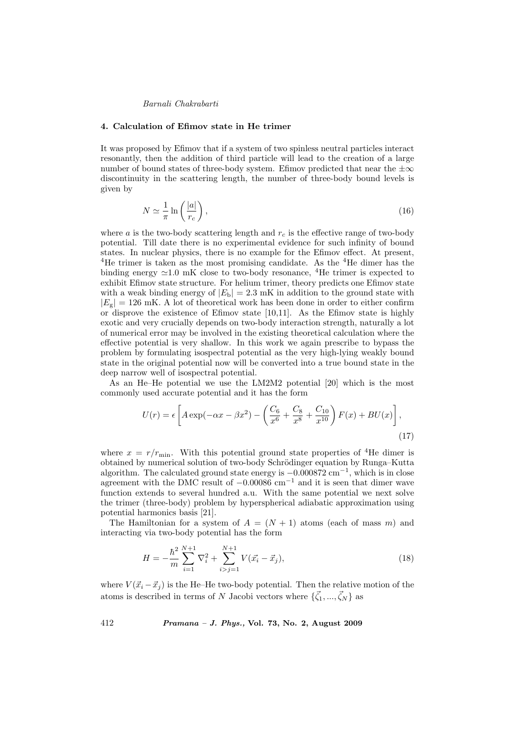#### 4. Calculation of Efimov state in He trimer

It was proposed by Efimov that if a system of two spinless neutral particles interact resonantly, then the addition of third particle will lead to the creation of a large number of bound states of three-body system. Efimov predicted that near the  $\pm \infty$ discontinuity in the scattering length, the number of three-body bound levels is given by

$$
N \simeq \frac{1}{\pi} \ln \left( \frac{|a|}{r_c} \right),\tag{16}
$$

where a is the two-body scattering length and  $r_c$  is the effective range of two-body potential. Till date there is no experimental evidence for such infinity of bound states. In nuclear physics, there is no example for the Efimov effect. At present, <sup>4</sup>He trimer is taken as the most promising candidate. As the <sup>4</sup>He dimer has the binding energy  $\simeq$  1.0 mK close to two-body resonance, <sup>4</sup>He trimer is expected to exhibit Efimov state structure. For helium trimer, theory predicts one Efimov state with a weak binding energy of  $|E_{\text{b}}| = 2.3 \text{ mK}$  in addition to the ground state with  $|E_{\sigma}| = 126$  mK. A lot of theoretical work has been done in order to either confirm or disprove the existence of Efimov state [10,11]. As the Efimov state is highly exotic and very crucially depends on two-body interaction strength, naturally a lot of numerical error may be involved in the existing theoretical calculation where the effective potential is very shallow. In this work we again prescribe to bypass the problem by formulating isospectral potential as the very high-lying weakly bound state in the original potential now will be converted into a true bound state in the deep narrow well of isospectral potential.

As an He–He potential we use the LM2M2 potential [20] which is the most commonly used accurate potential and it has the form

$$
U(r) = \epsilon \left[ A \exp(-\alpha x - \beta x^2) - \left( \frac{C_6}{x^6} + \frac{C_8}{x^8} + \frac{C_{10}}{x^{10}} \right) F(x) + BU(x) \right],
$$
\n(17)

where  $x = r/r_{\text{min}}$ . With this potential ground state properties of <sup>4</sup>He dimer is obtained by numerical solution of two-body Schrödinger equation by Runga-Kutta algorithm. The calculated ground state energy is  $-0.000872 \text{ cm}^{-1}$ , which is in close agreement with the DMC result of  $-0.00086$  cm<sup>-1</sup> and it is seen that dimer wave function extends to several hundred a.u. With the same potential we next solve the trimer (three-body) problem by hyperspherical adiabatic approximation using potential harmonics basis [21].

The Hamiltonian for a system of  $A = (N + 1)$  atoms (each of mass m) and interacting via two-body potential has the form

$$
H = -\frac{\hbar^2}{m} \sum_{i=1}^{N+1} \nabla_i^2 + \sum_{i>j=1}^{N+1} V(\vec{x_i} - \vec{x_j}),\tag{18}
$$

where  $V(\vec{x}_i - \vec{x}_j)$  is the He–He two-body potential. Then the relative motion of the atoms is described in terms of N Jacobi vectors where  $\{\vec{\zeta}_1, ..., \vec{\zeta}_N\}$  as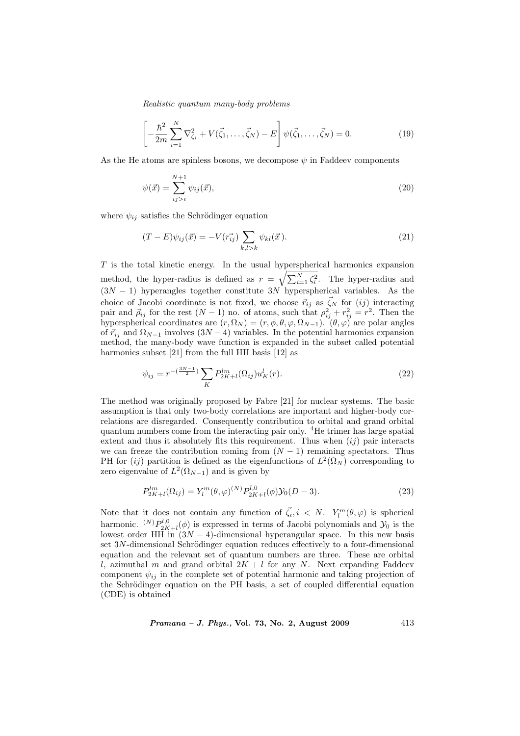$$
\left[ -\frac{\hbar^2}{2m} \sum_{i=1}^N \nabla_{\zeta_i}^2 + V(\vec{\zeta}_1, \dots, \vec{\zeta}_N) - E \right] \psi(\vec{\zeta}_1, \dots, \vec{\zeta}_N) = 0.
$$
 (19)

As the He atoms are spinless bosons, we decompose  $\psi$  in Faddeev components

$$
\psi(\vec{x}) = \sum_{ij>i}^{N+1} \psi_{ij}(\vec{x}),
$$
\n(20)

where  $\psi_{ij}$  satisfies the Schrödinger equation

$$
(T - E)\psi_{ij}(\vec{x}) = -V(\vec{r_{ij}}) \sum_{k,l > k} \psi_{kl}(\vec{x}).\tag{21}
$$

T is the total kinetic energy. In the usual hyperspherical harmonics expansion *I* is the total kinetic energy. In the usual hyperspherical narmonics expansion method, the hyper-radius is defined as  $r = \sqrt{\sum_{i=1}^{N} \zeta_i^2}$ . The hyper-radius and  $(3N - 1)$  hyperangles together constitute 3N hyperspherical variables. As the choice of Jacobi coordinate is not fixed, we choose  $\vec{r}_{ij}$  as  $\vec{\zeta}_N$  for  $(ij)$  interacting pair and  $\vec{\rho}_{ij}$  for the rest  $(N-1)$  no. of atoms, such that  $\rho_{ij}^2 + r_{ij}^2 = r^2$ . Then the hyperspherical coordinates are  $(r, \Omega_N) = (r, \phi, \theta, \varphi, \Omega_{N-1})$ .  $(\theta, \varphi)$  are polar angles of  $\vec{r}_{ij}$  and  $\Omega_{N-1}$  involves  $(3N-4)$  variables. In the potential harmonics expansion method, the many-body wave function is expanded in the subset called potential harmonics subset [21] from the full HH basis [12] as

$$
\psi_{ij} = r^{-\left(\frac{3N-1}{2}\right)} \sum_{K} P_{2K+l}^{lm}(\Omega_{ij}) u_K^l(r). \tag{22}
$$

The method was originally proposed by Fabre [21] for nuclear systems. The basic assumption is that only two-body correlations are important and higher-body correlations are disregarded. Consequently contribution to orbital and grand orbital quantum numbers come from the interacting pair only. <sup>4</sup>He trimer has large spatial extent and thus it absolutely fits this requirement. Thus when  $(ij)$  pair interacts we can freeze the contribution coming from  $(N - 1)$  remaining spectators. Thus PH for  $(ij)$  partition is defined as the eigenfunctions of  $L^2(\Omega_N)$  corresponding to zero eigenvalue of  $L^2(\Omega_{N-1})$  and is given by

$$
P_{2K+l}^{lm}(\Omega_{ij}) = Y_l^m(\theta, \varphi)^{(N)} P_{2K+l}^{l,0}(\phi) \mathcal{Y}_0(D-3). \tag{23}
$$

Note that it does not contain any function of  $\vec{\zeta}_i, i \leq N$ .  $Y_l^m(\theta, \varphi)$  is spherical harmonic.  $^{(N)}P_{2K+l}^{l,0}(\phi)$  is expressed in terms of Jacobi polynomials and  $\mathcal{Y}_0$  is the lowest order HH in  $(3N-4)$ -dimensional hyperangular space. In this new basis set  $3N$ -dimensional Schrödinger equation reduces effectively to a four-dimensional equation and the relevant set of quantum numbers are three. These are orbital l, azimuthal m and grand orbital  $2K + l$  for any N. Next expanding Faddeev component  $\psi_{ij}$  in the complete set of potential harmonic and taking projection of the Schrödinger equation on the PH basis, a set of coupled differential equation (CDE) is obtained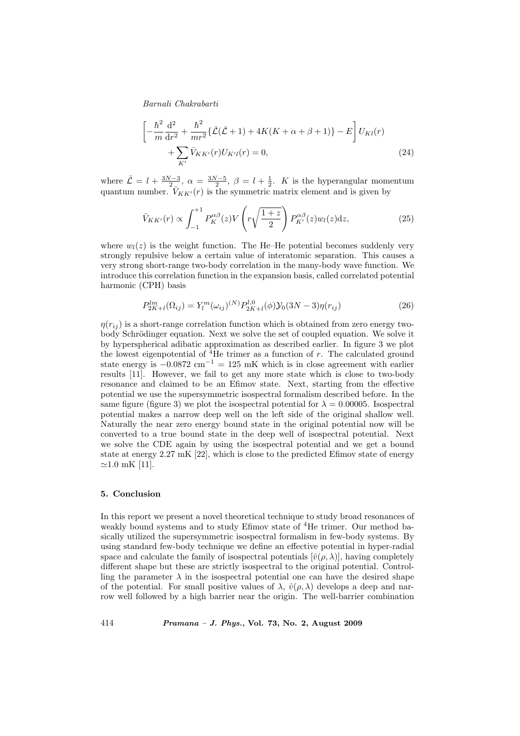$$
\left[-\frac{\hbar^2}{m}\frac{\mathrm{d}^2}{\mathrm{d}r^2} + \frac{\hbar^2}{mr^2}\{\bar{\mathcal{L}}(\bar{\mathcal{L}}+1) + 4K(K+\alpha+\beta+1)\} - E\right]U_{Kl}(r) + \sum_{K'} \bar{V}_{KK'}(r)U_{K'l}(r) = 0,
$$
\n(24)

where  $\bar{\mathcal{L}} = l + \frac{3N-3}{2}$ ,  $\alpha = \frac{3N-5}{2}$ ,  $\beta = l + \frac{1}{2}$ . K is the hyperangular momentum quantum number.  $\bar{V}_{KK'}(r)$  is the symmetric matrix element and is given by

$$
\bar{V}_{KK'}(r) \propto \int_{-1}^{+1} P_K^{\alpha\beta}(z) V\left(r\sqrt{\frac{1+z}{2}}\right) P_{K'}^{\alpha\beta}(z) w_l(z) \mathrm{d}z,\tag{25}
$$

where  $w_l(z)$  is the weight function. The He–He potential becomes suddenly very strongly repulsive below a certain value of interatomic separation. This causes a very strong short-range two-body correlation in the many-body wave function. We introduce this correlation function in the expansion basis, called correlated potential harmonic (CPH) basis

$$
P_{2K+l}^{lm}(\Omega_{ij}) = Y_l^m(\omega_{ij})^{(N)} P_{2K+l}^{l,0}(\phi) \mathcal{Y}_0(3N-3)\eta(r_{ij})
$$
\n(26)

 $\eta(r_{ij})$  is a short-range correlation function which is obtained from zero energy twobody Schrödinger equation. Next we solve the set of coupled equation. We solve it by hyperspherical adibatic approximation as described earlier. In figure 3 we plot the lowest eigenpotential of  ${}^{4}$ He trimer as a function of r. The calculated ground state energy is  $-0.0872 \text{ cm}^{-1} = 125 \text{ mK}$  which is in close agreement with earlier results [11]. However, we fail to get any more state which is close to two-body resonance and claimed to be an Efimov state. Next, starting from the effective potential we use the supersymmetric isospectral formalism described before. In the same figure (figure 3) we plot the isospectral potential for  $\lambda = 0.00005$ . Isospectral potential makes a narrow deep well on the left side of the original shallow well. Naturally the near zero energy bound state in the original potential now will be converted to a true bound state in the deep well of isospectral potential. Next we solve the CDE again by using the isospectral potential and we get a bound state at energy 2.27 mK [22], which is close to the predicted Efimov state of energy  $\approx$ 1.0 mK [11].

## 5. Conclusion

In this report we present a novel theoretical technique to study broad resonances of weakly bound systems and to study Efimov state of <sup>4</sup>He trimer. Our method basically utilized the supersymmetric isospectral formalism in few-body systems. By using standard few-body technique we define an effective potential in hyper-radial space and calculate the family of isospectral potentials  $[\hat{v}(\rho, \lambda)]$ , having completely different shape but these are strictly isospectral to the original potential. Controlling the parameter  $\lambda$  in the isospectral potential one can have the desired shape of the potential. For small positive values of  $\lambda$ ,  $\hat{v}(\rho, \lambda)$  develops a deep and narrow well followed by a high barrier near the origin. The well-barrier combination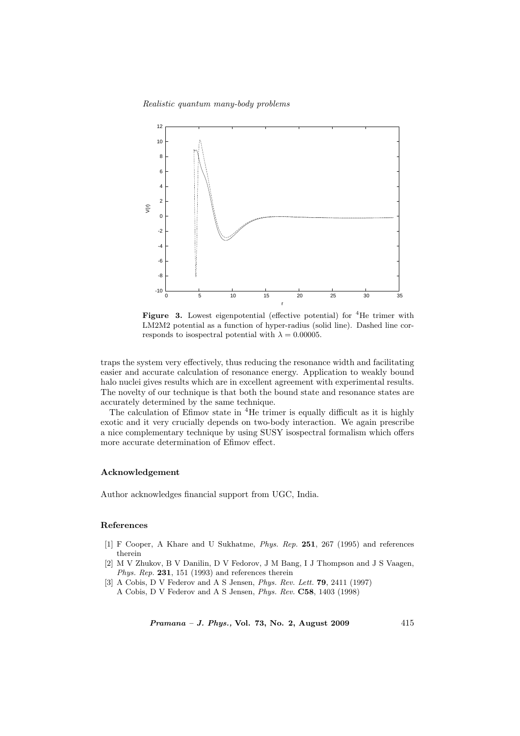

Figure 3. Lowest eigenpotential (effective potential) for <sup>4</sup>He trimer with LM2M2 potential as a function of hyper-radius (solid line). Dashed line corresponds to isospectral potential with  $\lambda = 0.00005$ .

traps the system very effectively, thus reducing the resonance width and facilitating easier and accurate calculation of resonance energy. Application to weakly bound halo nuclei gives results which are in excellent agreement with experimental results. The novelty of our technique is that both the bound state and resonance states are accurately determined by the same technique.

The calculation of Efimov state in <sup>4</sup>He trimer is equally difficult as it is highly exotic and it very crucially depends on two-body interaction. We again prescribe a nice complementary technique by using SUSY isospectral formalism which offers more accurate determination of Efimov effect.

## Acknowledgement

Author acknowledges financial support from UGC, India.

## References

- [1] F Cooper, A Khare and U Sukhatme, Phys. Rep. 251, 267 (1995) and references therein
- [2] M V Zhukov, B V Danilin, D V Fedorov, J M Bang, I J Thompson and J S Vaagen, Phys. Rep. 231, 151 (1993) and references therein
- [3] A Cobis, D V Federov and A S Jensen, Phys. Rev. Lett. 79, 2411 (1997) A Cobis, D V Federov and A S Jensen, Phys. Rev. C58, 1403 (1998)